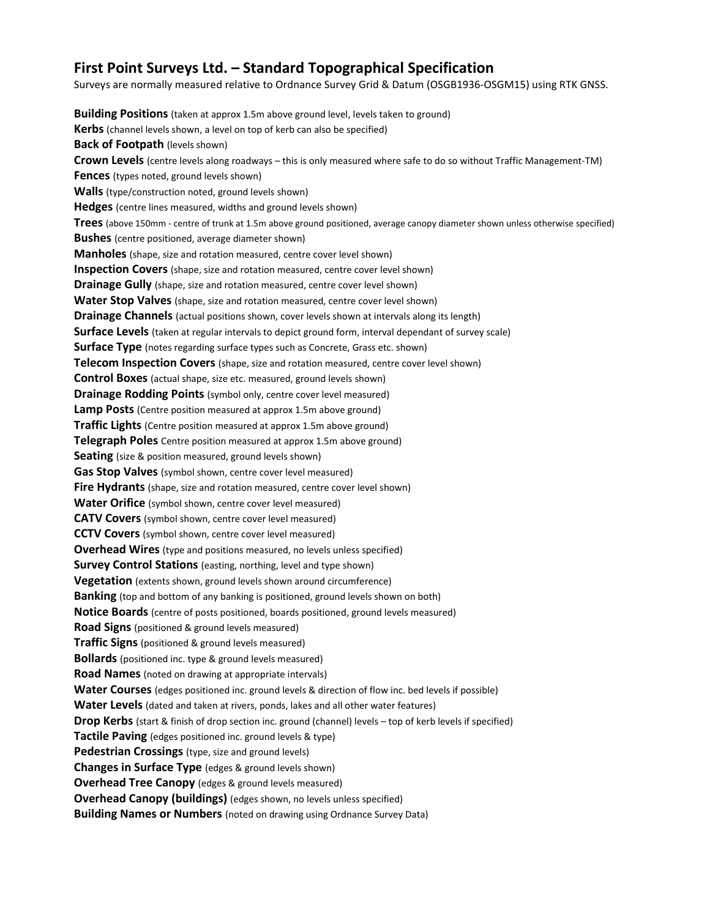## **First Point Surveys Ltd. – Standard Topographical Specification**

Surveys are normally measured relative to Ordnance Survey Grid & Datum (OSGB1936-OSGM15) using RTK GNSS.

**Building Positions** (taken at approx 1.5m above ground level, levels taken to ground) **Kerbs** (channel levels shown, a level on top of kerb can also be specified) **Back of Footpath** (levels shown) **Crown Levels** (centre levels along roadways – this is only measured where safe to do so without Traffic Management-TM) **Fences** (types noted, ground levels shown) **Walls** (type/construction noted, ground levels shown) **Hedges** (centre lines measured, widths and ground levels shown) **Trees** (above 150mm - centre of trunk at 1.5m above ground positioned, average canopy diameter shown unless otherwise specified) **Bushes** (centre positioned, average diameter shown) **Manholes** (shape, size and rotation measured, centre cover level shown) **Inspection Covers** (shape, size and rotation measured, centre cover level shown) **Drainage Gully** (shape, size and rotation measured, centre cover level shown) **Water Stop Valves** (shape, size and rotation measured, centre cover level shown) **Drainage Channels** (actual positions shown, cover levels shown at intervals along its length) **Surface Levels** (taken at regular intervals to depict ground form, interval dependant of survey scale) **Surface Type** (notes regarding surface types such as Concrete, Grass etc. shown) **Telecom Inspection Covers** (shape, size and rotation measured, centre cover level shown) **Control Boxes** (actual shape, size etc. measured, ground levels shown) **Drainage Rodding Points** (symbol only, centre cover level measured) **Lamp Posts** (Centre position measured at approx 1.5m above ground) **Traffic Lights** (Centre position measured at approx 1.5m above ground) **Telegraph Poles** Centre position measured at approx 1.5m above ground) **Seating** (size & position measured, ground levels shown) **Gas Stop Valves** (symbol shown, centre cover level measured) **Fire Hydrants** (shape, size and rotation measured, centre cover level shown) **Water Orifice** (symbol shown, centre cover level measured) **CATV Covers** (symbol shown, centre cover level measured) **CCTV Covers** (symbol shown, centre cover level measured) **Overhead Wires** (type and positions measured, no levels unless specified) **Survey Control Stations** (easting, northing, level and type shown) **Vegetation** (extents shown, ground levels shown around circumference) **Banking** (top and bottom of any banking is positioned, ground levels shown on both) **Notice Boards** (centre of posts positioned, boards positioned, ground levels measured) **Road Signs** (positioned & ground levels measured) **Traffic Signs** (positioned & ground levels measured) **Bollards** (positioned inc. type & ground levels measured) **Road Names** (noted on drawing at appropriate intervals) **Water Courses** (edges positioned inc. ground levels & direction of flow inc. bed levels if possible) **Water Levels** (dated and taken at rivers, ponds, lakes and all other water features) **Drop Kerbs** (start & finish of drop section inc. ground (channel) levels – top of kerb levels if specified) **Tactile Paving** (edges positioned inc. ground levels & type) **Pedestrian Crossings** (type, size and ground levels) **Changes in Surface Type** (edges & ground levels shown) **Overhead Tree Canopy** (edges & ground levels measured) **Overhead Canopy (buildings)** (edges shown, no levels unless specified) **Building Names or Numbers** (noted on drawing using Ordnance Survey Data)